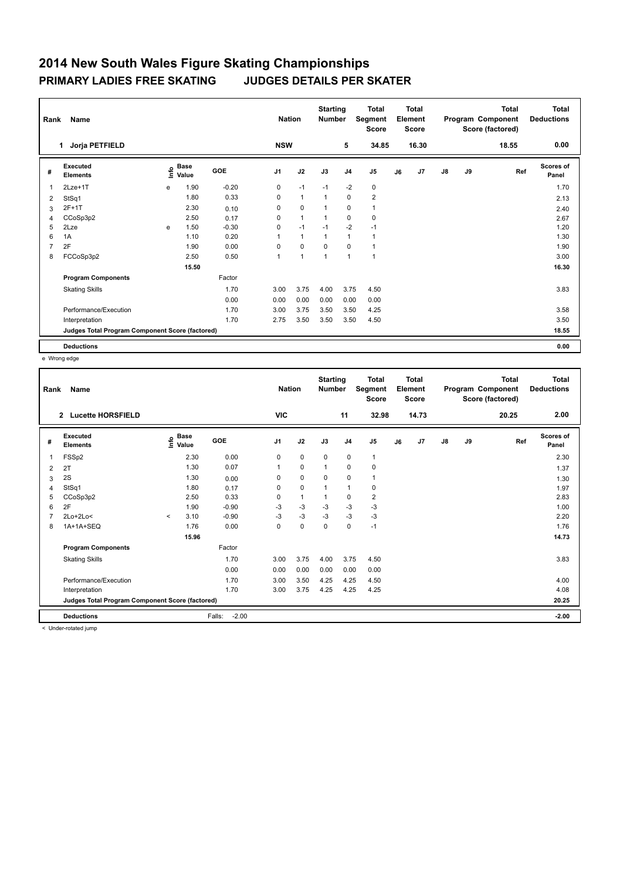| Rank           | <b>Name</b>                                     | <b>Nation</b> |                                  | <b>Starting</b><br><b>Number</b> |                | <b>Total</b><br>Segment<br><b>Score</b> |              | <b>Total</b><br>Element<br><b>Score</b> |                         |    | Total<br>Program Component<br>Score (factored) | <b>Total</b><br><b>Deductions</b> |    |       |                           |
|----------------|-------------------------------------------------|---------------|----------------------------------|----------------------------------|----------------|-----------------------------------------|--------------|-----------------------------------------|-------------------------|----|------------------------------------------------|-----------------------------------|----|-------|---------------------------|
|                | Jorja PETFIELD<br>1                             |               |                                  |                                  | <b>NSW</b>     |                                         |              | 5                                       | 34.85                   |    | 16.30                                          |                                   |    | 18.55 | 0.00                      |
| #              | Executed<br><b>Elements</b>                     |               | <b>Base</b><br>e Base<br>E Value | GOE                              | J <sub>1</sub> | J2                                      | J3           | J <sub>4</sub>                          | J <sub>5</sub>          | J6 | J7                                             | $\mathsf{J}8$                     | J9 | Ref   | <b>Scores of</b><br>Panel |
| $\mathbf{1}$   | $2$ Lze+1 $T$                                   | e             | 1.90                             | $-0.20$                          | 0              | $-1$                                    | $-1$         | $-2$                                    | 0                       |    |                                                |                                   |    |       | 1.70                      |
| 2              | StSq1                                           |               | 1.80                             | 0.33                             | 0              | $\mathbf{1}$                            | $\mathbf{1}$ | $\mathbf 0$                             | $\overline{\mathbf{c}}$ |    |                                                |                                   |    |       | 2.13                      |
| 3              | $2F+1T$                                         |               | 2.30                             | 0.10                             | 0              | $\mathbf 0$                             | 1            | $\mathbf 0$                             | $\mathbf{1}$            |    |                                                |                                   |    |       | 2.40                      |
| 4              | CCoSp3p2                                        |               | 2.50                             | 0.17                             | 0              | $\mathbf{1}$                            | 1            | $\mathbf 0$                             | 0                       |    |                                                |                                   |    |       | 2.67                      |
| 5              | 2Lze                                            | e             | 1.50                             | $-0.30$                          | 0              | $-1$                                    | $-1$         | $-2$                                    | $-1$                    |    |                                                |                                   |    |       | 1.20                      |
| 6              | 1A                                              |               | 1.10                             | 0.20                             | 1              | $\mathbf{1}$                            | 1            | $\mathbf{1}$                            | 1                       |    |                                                |                                   |    |       | 1.30                      |
| $\overline{7}$ | 2F                                              |               | 1.90                             | 0.00                             | $\Omega$       | $\mathbf 0$                             | $\Omega$     | $\Omega$                                | 1                       |    |                                                |                                   |    |       | 1.90                      |
| 8              | FCCoSp3p2                                       |               | 2.50                             | 0.50                             | 1              | $\overline{1}$                          | 1            | $\mathbf{1}$                            | $\mathbf{1}$            |    |                                                |                                   |    |       | 3.00                      |
|                |                                                 |               | 15.50                            |                                  |                |                                         |              |                                         |                         |    |                                                |                                   |    |       | 16.30                     |
|                | <b>Program Components</b>                       |               |                                  | Factor                           |                |                                         |              |                                         |                         |    |                                                |                                   |    |       |                           |
|                | <b>Skating Skills</b>                           |               |                                  | 1.70                             | 3.00           | 3.75                                    | 4.00         | 3.75                                    | 4.50                    |    |                                                |                                   |    |       | 3.83                      |
|                |                                                 |               |                                  | 0.00                             | 0.00           | 0.00                                    | 0.00         | 0.00                                    | 0.00                    |    |                                                |                                   |    |       |                           |
|                | Performance/Execution                           |               |                                  | 1.70                             | 3.00           | 3.75                                    | 3.50         | 3.50                                    | 4.25                    |    |                                                |                                   |    |       | 3.58                      |
|                | Interpretation                                  |               |                                  | 1.70                             | 2.75           | 3.50                                    | 3.50         | 3.50                                    | 4.50                    |    |                                                |                                   |    |       | 3.50                      |
|                | Judges Total Program Component Score (factored) |               |                                  |                                  |                |                                         |              |                                         |                         |    |                                                |                                   |    |       | 18.55                     |
|                | <b>Deductions</b>                               |               |                                  |                                  |                |                                         |              |                                         |                         |    |                                                |                                   |    |       | 0.00                      |

e Wrong edge

| Rank           | Name<br>$\mathbf{2}$<br><b>Lucette HORSFIELD</b> |         |                                             |                   | <b>Nation</b><br><b>VIC</b> |              | <b>Starting</b><br><b>Number</b> | 11             | <b>Total</b><br>Segment<br><b>Score</b><br>32.98 |    | <b>Total</b><br>Element<br><b>Score</b><br>14.73 |               |    | <b>Total</b><br>Program Component<br>Score (factored)<br>20.25 | <b>Total</b><br><b>Deductions</b><br>2.00 |
|----------------|--------------------------------------------------|---------|---------------------------------------------|-------------------|-----------------------------|--------------|----------------------------------|----------------|--------------------------------------------------|----|--------------------------------------------------|---------------|----|----------------------------------------------------------------|-------------------------------------------|
|                |                                                  |         |                                             |                   |                             |              |                                  |                |                                                  |    |                                                  |               |    |                                                                |                                           |
| #              | Executed<br><b>Elements</b>                      |         | <b>Base</b><br>e <sup>Base</sup><br>⊆ Value | GOE               | J <sub>1</sub>              | J2           | J3                               | J <sub>4</sub> | J <sub>5</sub>                                   | J6 | J <sub>7</sub>                                   | $\mathsf{J}8$ | J9 | Ref                                                            | <b>Scores of</b><br>Panel                 |
| 1              | FSSp2                                            |         | 2.30                                        | 0.00              | 0                           | $\mathbf 0$  | $\mathbf 0$                      | $\mathbf 0$    | $\mathbf{1}$                                     |    |                                                  |               |    |                                                                | 2.30                                      |
| $\overline{2}$ | 2T                                               |         | 1.30                                        | 0.07              | 1                           | $\mathbf 0$  | $\mathbf{1}$                     | $\mathbf 0$    | $\mathbf 0$                                      |    |                                                  |               |    |                                                                | 1.37                                      |
| 3              | 2S                                               |         | 1.30                                        | 0.00              | 0                           | $\mathbf 0$  | 0                                | $\mathbf 0$    | $\mathbf{1}$                                     |    |                                                  |               |    |                                                                | 1.30                                      |
| 4              | StSq1                                            |         | 1.80                                        | 0.17              | 0                           | $\mathbf 0$  | $\mathbf{1}$                     | $\mathbf{1}$   | 0                                                |    |                                                  |               |    |                                                                | 1.97                                      |
| 5              | CCoSp3p2                                         |         | 2.50                                        | 0.33              | $\Omega$                    | $\mathbf{1}$ | $\mathbf{1}$                     | $\mathbf 0$    | $\overline{\mathbf{c}}$                          |    |                                                  |               |    |                                                                | 2.83                                      |
| 6              | 2F                                               |         | 1.90                                        | $-0.90$           | $-3$                        | -3           | $-3$                             | $-3$           | $-3$                                             |    |                                                  |               |    |                                                                | 1.00                                      |
|                | 2Lo+2Lo<                                         | $\prec$ | 3.10                                        | $-0.90$           | -3                          | $-3$         | $-3$                             | $-3$           | $-3$                                             |    |                                                  |               |    |                                                                | 2.20                                      |
| 8              | 1A+1A+SEQ                                        |         | 1.76                                        | 0.00              | $\mathbf 0$                 | $\mathbf 0$  | $\mathbf 0$                      | $\mathbf 0$    | $-1$                                             |    |                                                  |               |    |                                                                | 1.76                                      |
|                |                                                  |         | 15.96                                       |                   |                             |              |                                  |                |                                                  |    |                                                  |               |    |                                                                | 14.73                                     |
|                | <b>Program Components</b>                        |         |                                             | Factor            |                             |              |                                  |                |                                                  |    |                                                  |               |    |                                                                |                                           |
|                | <b>Skating Skills</b>                            |         |                                             | 1.70              | 3.00                        | 3.75         | 4.00                             | 3.75           | 4.50                                             |    |                                                  |               |    |                                                                | 3.83                                      |
|                |                                                  |         |                                             | 0.00              | 0.00                        | 0.00         | 0.00                             | 0.00           | 0.00                                             |    |                                                  |               |    |                                                                |                                           |
|                | Performance/Execution                            |         |                                             | 1.70              | 3.00                        | 3.50         | 4.25                             | 4.25           | 4.50                                             |    |                                                  |               |    |                                                                | 4.00                                      |
|                | Interpretation                                   |         |                                             | 1.70              | 3.00                        | 3.75         | 4.25                             | 4.25           | 4.25                                             |    |                                                  |               |    |                                                                | 4.08                                      |
|                | Judges Total Program Component Score (factored)  |         |                                             |                   |                             |              |                                  |                |                                                  |    |                                                  |               |    |                                                                | 20.25                                     |
|                | <b>Deductions</b>                                |         |                                             | $-2.00$<br>Falls: |                             |              |                                  |                |                                                  |    |                                                  |               |    |                                                                | $-2.00$                                   |

< Under-rotated jump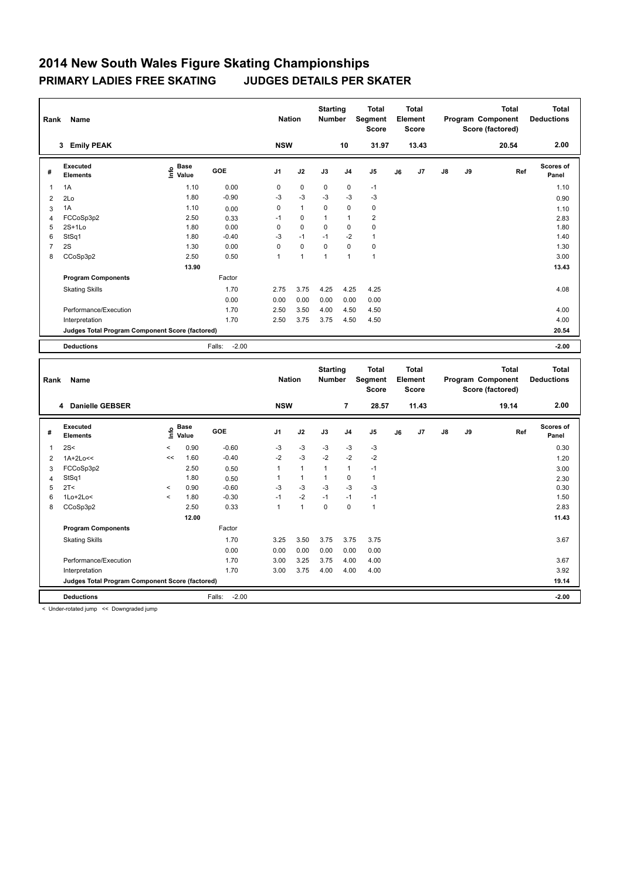| Rank                    | Name                                            | <b>Nation</b>                               |                   | <b>Starting</b><br><b>Number</b> |              | <b>Total</b><br>Segment<br><b>Score</b> |                | <b>Total</b><br>Element<br><b>Score</b> |    |       | Total<br>Program Component<br>Score (factored) | Total<br><b>Deductions</b> |       |                    |
|-------------------------|-------------------------------------------------|---------------------------------------------|-------------------|----------------------------------|--------------|-----------------------------------------|----------------|-----------------------------------------|----|-------|------------------------------------------------|----------------------------|-------|--------------------|
|                         | <b>Emily PEAK</b><br>3                          |                                             |                   | <b>NSW</b>                       |              |                                         | 10             | 31.97                                   |    | 13.43 |                                                |                            | 20.54 | 2.00               |
| #                       | Executed<br><b>Elements</b>                     | <b>Base</b><br>e <sup>Base</sup><br>⊆ Value | GOE               | J <sub>1</sub>                   | J2           | J3                                      | J <sub>4</sub> | J <sub>5</sub>                          | J6 | J7    | J8                                             | J9                         | Ref   | Scores of<br>Panel |
| $\overline{\mathbf{1}}$ | 1A                                              | 1.10                                        | 0.00              | 0                                | $\pmb{0}$    | $\mathbf 0$                             | $\mathbf 0$    | $-1$                                    |    |       |                                                |                            |       | 1.10               |
| 2                       | 2Lo                                             | 1.80                                        | $-0.90$           | -3                               | $-3$         | $-3$                                    | $-3$           | $-3$                                    |    |       |                                                |                            |       | 0.90               |
| 3                       | 1A                                              | 1.10                                        | 0.00              | 0                                | $\mathbf{1}$ | $\mathbf 0$                             | $\mathbf 0$    | 0                                       |    |       |                                                |                            |       | 1.10               |
| 4                       | FCCoSp3p2                                       | 2.50                                        | 0.33              | $-1$                             | 0            | 1                                       | $\mathbf{1}$   | $\overline{\mathbf{c}}$                 |    |       |                                                |                            |       | 2.83               |
| 5                       | $2S+1L0$                                        | 1.80                                        | 0.00              | 0                                | $\mathbf 0$  | $\mathbf 0$                             | $\mathbf 0$    | $\mathbf 0$                             |    |       |                                                |                            |       | 1.80               |
| 6                       | StSq1                                           | 1.80                                        | $-0.40$           | $-3$                             | $-1$         | $-1$                                    | $-2$           | $\mathbf{1}$                            |    |       |                                                |                            |       | 1.40               |
| $\overline{7}$          | 2S                                              | 1.30                                        | 0.00              | 0                                | $\mathbf 0$  | $\mathbf 0$                             | $\mathbf 0$    | $\mathbf 0$                             |    |       |                                                |                            |       | 1.30               |
| 8                       | CCoSp3p2                                        | 2.50                                        | 0.50              | $\mathbf{1}$                     | 1            | 1                                       | $\mathbf{1}$   | $\mathbf{1}$                            |    |       |                                                |                            |       | 3.00               |
|                         |                                                 | 13.90                                       |                   |                                  |              |                                         |                |                                         |    |       |                                                |                            |       | 13.43              |
|                         | <b>Program Components</b>                       |                                             | Factor            |                                  |              |                                         |                |                                         |    |       |                                                |                            |       |                    |
|                         | <b>Skating Skills</b>                           |                                             | 1.70              | 2.75                             | 3.75         | 4.25                                    | 4.25           | 4.25                                    |    |       |                                                |                            |       | 4.08               |
|                         |                                                 |                                             | 0.00              | 0.00                             | 0.00         | 0.00                                    | 0.00           | 0.00                                    |    |       |                                                |                            |       |                    |
|                         | Performance/Execution                           |                                             | 1.70              | 2.50                             | 3.50         | 4.00                                    | 4.50           | 4.50                                    |    |       |                                                |                            |       | 4.00               |
|                         | Interpretation                                  |                                             | 1.70              | 2.50                             | 3.75         | 3.75                                    | 4.50           | 4.50                                    |    |       |                                                |                            |       | 4.00               |
|                         | Judges Total Program Component Score (factored) |                                             |                   |                                  |              |                                         |                |                                         |    |       |                                                |                            |       | 20.54              |
|                         | <b>Deductions</b>                               |                                             | $-2.00$<br>Falls: |                                  |              |                                         |                |                                         |    |       |                                                |                            |       | $-2.00$            |

|                | Rank<br>Name<br>4 Danielle GEBSER               |         |                                  |                   |                | <b>Nation</b> | <b>Starting</b><br><b>Number</b> |                | <b>Total</b><br>Segment<br><b>Score</b> |    | <b>Total</b><br>Element<br><b>Score</b> |               |    | <b>Total</b><br>Program Component<br>Score (factored) | Total<br><b>Deductions</b> |
|----------------|-------------------------------------------------|---------|----------------------------------|-------------------|----------------|---------------|----------------------------------|----------------|-----------------------------------------|----|-----------------------------------------|---------------|----|-------------------------------------------------------|----------------------------|
|                |                                                 |         |                                  |                   | <b>NSW</b>     |               |                                  | $\overline{7}$ | 28.57                                   |    | 11.43                                   |               |    | 19.14                                                 | 2.00                       |
| #              | Executed<br><b>Elements</b>                     |         | <b>Base</b><br>e Base<br>E Value | <b>GOE</b>        | J <sub>1</sub> | J2            | J3                               | J <sub>4</sub> | J <sub>5</sub>                          | J6 | J7                                      | $\mathsf{J}8$ | J9 | Ref                                                   | <b>Scores of</b><br>Panel  |
| $\overline{1}$ | 2S<                                             | $\prec$ | 0.90                             | $-0.60$           | $-3$           | $-3$          | $-3$                             | $-3$           | $-3$                                    |    |                                         |               |    |                                                       | 0.30                       |
| 2              | $1A+2Lo<<$                                      | <<      | 1.60                             | $-0.40$           | $-2$           | $-3$          | $-2$                             | $-2$           | $-2$                                    |    |                                         |               |    |                                                       | 1.20                       |
| 3              | FCCoSp3p2                                       |         | 2.50                             | 0.50              | 1              | $\mathbf{1}$  | 1                                | $\mathbf{1}$   | $-1$                                    |    |                                         |               |    |                                                       | 3.00                       |
| $\overline{4}$ | StSq1                                           |         | 1.80                             | 0.50              | 1              | $\mathbf{1}$  |                                  | 0              | 1                                       |    |                                         |               |    |                                                       | 2.30                       |
| 5              | 2T <                                            | $\prec$ | 0.90                             | $-0.60$           | $-3$           | $-3$          | $-3$                             | $-3$           | $-3$                                    |    |                                         |               |    |                                                       | 0.30                       |
| 6              | $1Lo+2Lo<$                                      | $\prec$ | 1.80                             | $-0.30$           | $-1$           | $-2$          | $-1$                             | $-1$           | $-1$                                    |    |                                         |               |    |                                                       | 1.50                       |
| 8              | CCoSp3p2                                        |         | 2.50                             | 0.33              | 1              | 1             | 0                                | $\mathbf 0$    | $\mathbf{1}$                            |    |                                         |               |    |                                                       | 2.83                       |
|                |                                                 |         | 12.00                            |                   |                |               |                                  |                |                                         |    |                                         |               |    |                                                       | 11.43                      |
|                | <b>Program Components</b>                       |         |                                  | Factor            |                |               |                                  |                |                                         |    |                                         |               |    |                                                       |                            |
|                | <b>Skating Skills</b>                           |         |                                  | 1.70              | 3.25           | 3.50          | 3.75                             | 3.75           | 3.75                                    |    |                                         |               |    |                                                       | 3.67                       |
|                |                                                 |         |                                  | 0.00              | 0.00           | 0.00          | 0.00                             | 0.00           | 0.00                                    |    |                                         |               |    |                                                       |                            |
|                | Performance/Execution                           |         |                                  | 1.70              | 3.00           | 3.25          | 3.75                             | 4.00           | 4.00                                    |    |                                         |               |    |                                                       | 3.67                       |
|                | Interpretation                                  |         |                                  | 1.70              | 3.00           | 3.75          | 4.00                             | 4.00           | 4.00                                    |    |                                         |               |    |                                                       | 3.92                       |
|                | Judges Total Program Component Score (factored) |         |                                  |                   |                |               |                                  |                |                                         |    |                                         |               |    |                                                       | 19.14                      |
|                | <b>Deductions</b>                               |         |                                  | Falls:<br>$-2.00$ |                |               |                                  |                |                                         |    |                                         |               |    |                                                       | $-2.00$                    |

< Under-rotated jump << Downgraded jump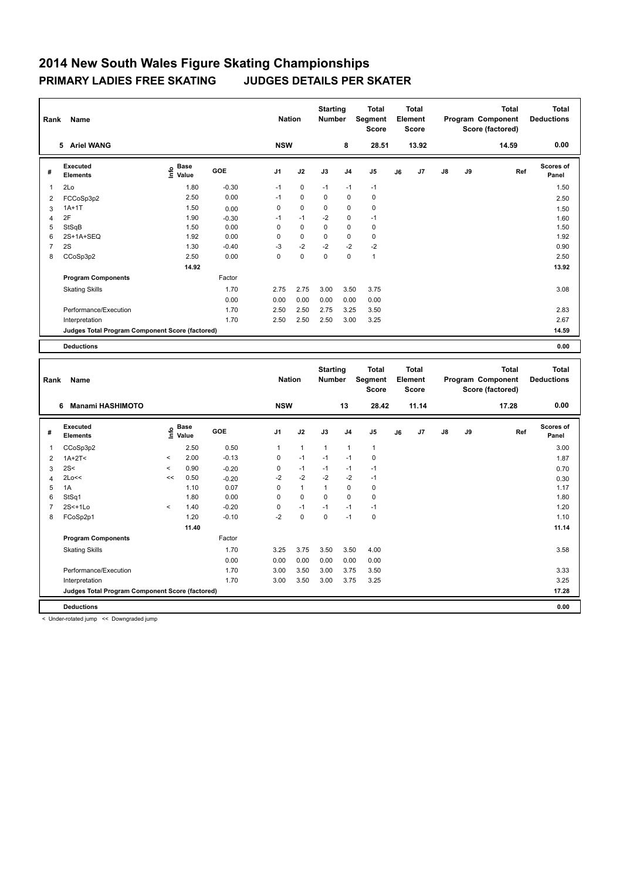| Rank | Name                                            | <b>Nation</b>                               |         | <b>Starting</b><br><b>Number</b> |             | <b>Total</b><br>Segment<br><b>Score</b> |                | <b>Total</b><br>Element<br><b>Score</b> |    |       | <b>Total</b><br>Program Component<br>Score (factored) | <b>Total</b><br><b>Deductions</b> |       |                           |
|------|-------------------------------------------------|---------------------------------------------|---------|----------------------------------|-------------|-----------------------------------------|----------------|-----------------------------------------|----|-------|-------------------------------------------------------|-----------------------------------|-------|---------------------------|
|      | 5 Ariel WANG                                    |                                             |         | <b>NSW</b>                       |             |                                         | 8              | 28.51                                   |    | 13.92 |                                                       |                                   | 14.59 | 0.00                      |
| #    | Executed<br><b>Elements</b>                     | <b>Base</b><br>e <sup>Base</sup><br>⊑ Value | GOE     | J <sub>1</sub>                   | J2          | J3                                      | J <sub>4</sub> | J <sub>5</sub>                          | J6 | J7    | $\mathsf{J}8$                                         | J9                                | Ref   | <b>Scores of</b><br>Panel |
| 1    | 2Lo                                             | 1.80                                        | $-0.30$ | $-1$                             | 0           | $-1$                                    | $-1$           | $-1$                                    |    |       |                                                       |                                   |       | 1.50                      |
| 2    | FCCoSp3p2                                       | 2.50                                        | 0.00    | $-1$                             | $\mathbf 0$ | 0                                       | $\mathbf 0$    | 0                                       |    |       |                                                       |                                   |       | 2.50                      |
| 3    | $1A+1T$                                         | 1.50                                        | 0.00    | 0                                | $\pmb{0}$   | 0                                       | 0              | 0                                       |    |       |                                                       |                                   |       | 1.50                      |
| 4    | 2F                                              | 1.90                                        | $-0.30$ | $-1$                             | $-1$        | $-2$                                    | 0              | $-1$                                    |    |       |                                                       |                                   |       | 1.60                      |
| 5    | StSqB                                           | 1.50                                        | 0.00    | 0                                | $\mathbf 0$ | 0                                       | $\mathbf 0$    | 0                                       |    |       |                                                       |                                   |       | 1.50                      |
| 6    | 2S+1A+SEQ                                       | 1.92                                        | 0.00    | $\Omega$                         | $\mathbf 0$ | 0                                       | $\mathbf 0$    | 0                                       |    |       |                                                       |                                   |       | 1.92                      |
| 7    | 2S                                              | 1.30                                        | $-0.40$ | -3                               | $-2$        | $-2$                                    | $-2$           | $-2$                                    |    |       |                                                       |                                   |       | 0.90                      |
| 8    | CCoSp3p2                                        | 2.50                                        | 0.00    | 0                                | $\mathbf 0$ | 0                                       | $\mathbf 0$    | $\mathbf{1}$                            |    |       |                                                       |                                   |       | 2.50                      |
|      |                                                 | 14.92                                       |         |                                  |             |                                         |                |                                         |    |       |                                                       |                                   |       | 13.92                     |
|      | <b>Program Components</b>                       |                                             | Factor  |                                  |             |                                         |                |                                         |    |       |                                                       |                                   |       |                           |
|      | <b>Skating Skills</b>                           |                                             | 1.70    | 2.75                             | 2.75        | 3.00                                    | 3.50           | 3.75                                    |    |       |                                                       |                                   |       | 3.08                      |
|      |                                                 |                                             | 0.00    | 0.00                             | 0.00        | 0.00                                    | 0.00           | 0.00                                    |    |       |                                                       |                                   |       |                           |
|      | Performance/Execution                           |                                             | 1.70    | 2.50                             | 2.50        | 2.75                                    | 3.25           | 3.50                                    |    |       |                                                       |                                   |       | 2.83                      |
|      | Interpretation                                  |                                             | 1.70    | 2.50                             | 2.50        | 2.50                                    | 3.00           | 3.25                                    |    |       |                                                       |                                   |       | 2.67                      |
|      | Judges Total Program Component Score (factored) |                                             |         |                                  |             |                                         |                |                                         |    |       |                                                       |                                   |       | 14.59                     |
|      | <b>Deductions</b>                               |                                             |         |                                  |             |                                         |                |                                         |    |       |                                                       |                                   |       | 0.00                      |

| Rank           | Name                                            | <b>Nation</b>            |                                  | <b>Starting</b><br><b>Number</b> |                | Total<br>Segment<br><b>Score</b> |              | <b>Total</b><br>Element<br><b>Score</b> |              |    | <b>Total</b><br>Program Component<br>Score (factored) | <b>Total</b><br><b>Deductions</b> |    |       |                    |
|----------------|-------------------------------------------------|--------------------------|----------------------------------|----------------------------------|----------------|----------------------------------|--------------|-----------------------------------------|--------------|----|-------------------------------------------------------|-----------------------------------|----|-------|--------------------|
|                | <b>Manami HASHIMOTO</b><br>6                    |                          |                                  |                                  | <b>NSW</b>     |                                  |              | 13                                      | 28.42        |    | 11.14                                                 |                                   |    | 17.28 | 0.00               |
| #              | Executed<br><b>Elements</b>                     |                          | <b>Base</b><br>e Base<br>E Value | GOE                              | J <sub>1</sub> | J2                               | J3           | J <sub>4</sub>                          | J5           | J6 | J7                                                    | J8                                | J9 | Ref   | Scores of<br>Panel |
| 1              | CCoSp3p2                                        |                          | 2.50                             | 0.50                             | 1              | $\mathbf{1}$                     | $\mathbf{1}$ | $\mathbf{1}$                            | $\mathbf{1}$ |    |                                                       |                                   |    |       | 3.00               |
| 2              | $1A+2T<$                                        | $\hat{}$                 | 2.00                             | $-0.13$                          | $\Omega$       | $-1$                             | $-1$         | $-1$                                    | 0            |    |                                                       |                                   |    |       | 1.87               |
| 3              | 2S<                                             | $\prec$                  | 0.90                             | $-0.20$                          | 0              | $-1$                             | $-1$         | $-1$                                    | $-1$         |    |                                                       |                                   |    |       | 0.70               |
| 4              | 2Lo<<                                           | <<                       | 0.50                             | $-0.20$                          | $-2$           | $-2$                             | $-2$         | $-2$                                    | $-1$         |    |                                                       |                                   |    |       | 0.30               |
| 5              | 1A                                              |                          | 1.10                             | 0.07                             | 0              | $\mathbf{1}$                     | $\mathbf{1}$ | $\mathbf 0$                             | $\mathbf 0$  |    |                                                       |                                   |    |       | 1.17               |
| 6              | StSq1                                           |                          | 1.80                             | 0.00                             | 0              | $\mathbf 0$                      | $\mathbf 0$  | $\mathbf 0$                             | 0            |    |                                                       |                                   |    |       | 1.80               |
| $\overline{7}$ | $2S<+1Lo$                                       | $\overline{\phantom{a}}$ | 1.40                             | $-0.20$                          | $\Omega$       | $-1$                             | $-1$         | $-1$                                    | $-1$         |    |                                                       |                                   |    |       | 1.20               |
| 8              | FCoSp2p1                                        |                          | 1.20                             | $-0.10$                          | $-2$           | $\mathbf 0$                      | $\mathbf 0$  | $-1$                                    | 0            |    |                                                       |                                   |    |       | 1.10               |
|                |                                                 |                          | 11.40                            |                                  |                |                                  |              |                                         |              |    |                                                       |                                   |    |       | 11.14              |
|                | <b>Program Components</b>                       |                          |                                  | Factor                           |                |                                  |              |                                         |              |    |                                                       |                                   |    |       |                    |
|                | <b>Skating Skills</b>                           |                          |                                  | 1.70                             | 3.25           | 3.75                             | 3.50         | 3.50                                    | 4.00         |    |                                                       |                                   |    |       | 3.58               |
|                |                                                 |                          |                                  | 0.00                             | 0.00           | 0.00                             | 0.00         | 0.00                                    | 0.00         |    |                                                       |                                   |    |       |                    |
|                | Performance/Execution                           |                          |                                  | 1.70                             | 3.00           | 3.50                             | 3.00         | 3.75                                    | 3.50         |    |                                                       |                                   |    |       | 3.33               |
|                | Interpretation                                  |                          |                                  | 1.70                             | 3.00           | 3.50                             | 3.00         | 3.75                                    | 3.25         |    |                                                       |                                   |    |       | 3.25               |
|                | Judges Total Program Component Score (factored) |                          |                                  |                                  |                |                                  |              |                                         |              |    |                                                       |                                   |    |       | 17.28              |
|                | <b>Deductions</b>                               |                          |                                  |                                  |                |                                  |              |                                         |              |    |                                                       |                                   |    |       | 0.00               |

< Under-rotated jump << Downgraded jump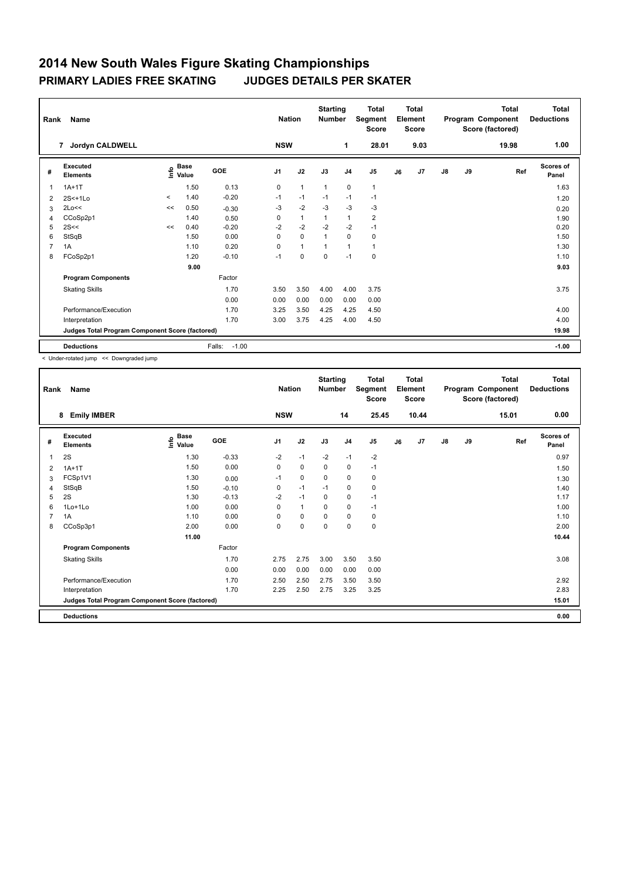| Rank        | Name                                            |         | <b>Nation</b>                    |                   | <b>Starting</b><br><b>Number</b> |              | <b>Total</b><br>Segment<br><b>Score</b> |                | <b>Total</b><br>Element<br><b>Score</b> |    |      | <b>Total</b><br>Program Component<br>Score (factored) | <b>Total</b><br><b>Deductions</b> |       |                           |
|-------------|-------------------------------------------------|---------|----------------------------------|-------------------|----------------------------------|--------------|-----------------------------------------|----------------|-----------------------------------------|----|------|-------------------------------------------------------|-----------------------------------|-------|---------------------------|
|             | <b>Jordyn CALDWELL</b><br>7                     |         |                                  |                   | <b>NSW</b>                       |              |                                         | 1              | 28.01                                   |    | 9.03 |                                                       |                                   | 19.98 | 1.00                      |
| #           | Executed<br><b>Elements</b>                     |         | <b>Base</b><br>e Base<br>⊆ Value | GOE               | J <sub>1</sub>                   | J2           | J3                                      | J <sub>4</sub> | J <sub>5</sub>                          | J6 | J7   | $\mathsf{J}8$                                         | J9                                | Ref   | <b>Scores of</b><br>Panel |
| $\mathbf 1$ | $1A+1T$                                         |         | 1.50                             | 0.13              | $\mathbf 0$                      | $\mathbf{1}$ | $\mathbf{1}$                            | $\mathbf 0$    | 1                                       |    |      |                                                       |                                   |       | 1.63                      |
| 2           | $2S<+1Lo$                                       | $\prec$ | 1.40                             | $-0.20$           | $-1$                             | $-1$         | $-1$                                    | $-1$           | $-1$                                    |    |      |                                                       |                                   |       | 1.20                      |
| 3           | 2Lo<<                                           | <<      | 0.50                             | $-0.30$           | $-3$                             | $-2$         | $-3$                                    | $-3$           | $-3$                                    |    |      |                                                       |                                   |       | 0.20                      |
| 4           | CCoSp2p1                                        |         | 1.40                             | 0.50              | 0                                | $\mathbf{1}$ | $\mathbf{1}$                            | $\mathbf{1}$   | $\overline{2}$                          |    |      |                                                       |                                   |       | 1.90                      |
| 5           | 2S<<                                            | <<      | 0.40                             | $-0.20$           | $-2$                             | $-2$         | $-2$                                    | $-2$           | $-1$                                    |    |      |                                                       |                                   |       | 0.20                      |
| 6           | StSqB                                           |         | 1.50                             | 0.00              | 0                                | $\mathbf 0$  | $\mathbf{1}$                            | $\mathbf 0$    | $\mathbf 0$                             |    |      |                                                       |                                   |       | 1.50                      |
| 7           | 1A                                              |         | 1.10                             | 0.20              | 0                                | $\mathbf{1}$ | $\mathbf{1}$                            | $\mathbf{1}$   | $\mathbf{1}$                            |    |      |                                                       |                                   |       | 1.30                      |
| 8           | FCoSp2p1                                        |         | 1.20                             | $-0.10$           | $-1$                             | $\mathbf 0$  | $\mathbf 0$                             | $-1$           | 0                                       |    |      |                                                       |                                   |       | 1.10                      |
|             |                                                 |         | 9.00                             |                   |                                  |              |                                         |                |                                         |    |      |                                                       |                                   |       | 9.03                      |
|             | <b>Program Components</b>                       |         |                                  | Factor            |                                  |              |                                         |                |                                         |    |      |                                                       |                                   |       |                           |
|             | <b>Skating Skills</b>                           |         |                                  | 1.70              | 3.50                             | 3.50         | 4.00                                    | 4.00           | 3.75                                    |    |      |                                                       |                                   |       | 3.75                      |
|             |                                                 |         |                                  | 0.00              | 0.00                             | 0.00         | 0.00                                    | 0.00           | 0.00                                    |    |      |                                                       |                                   |       |                           |
|             | Performance/Execution                           |         |                                  | 1.70              | 3.25                             | 3.50         | 4.25                                    | 4.25           | 4.50                                    |    |      |                                                       |                                   |       | 4.00                      |
|             | Interpretation                                  |         |                                  | 1.70              | 3.00                             | 3.75         | 4.25                                    | 4.00           | 4.50                                    |    |      |                                                       |                                   |       | 4.00                      |
|             | Judges Total Program Component Score (factored) |         |                                  |                   |                                  |              |                                         |                |                                         |    |      |                                                       |                                   |       | 19.98                     |
|             | <b>Deductions</b>                               |         |                                  | $-1.00$<br>Falls: |                                  |              |                                         |                |                                         |    |      |                                                       |                                   |       | $-1.00$                   |

< Under-rotated jump << Downgraded jump

| Rank           | Name<br><b>Emily IMBER</b><br>8                 |                   |         | <b>Nation</b>  |              | <b>Starting</b><br><b>Number</b> |                | <b>Total</b><br>Segment<br><b>Score</b> |    | <b>Total</b><br>Element<br><b>Score</b> |               |    | <b>Total</b><br>Program Component<br>Score (factored) | <b>Total</b><br><b>Deductions</b> |
|----------------|-------------------------------------------------|-------------------|---------|----------------|--------------|----------------------------------|----------------|-----------------------------------------|----|-----------------------------------------|---------------|----|-------------------------------------------------------|-----------------------------------|
|                |                                                 |                   |         | <b>NSW</b>     |              |                                  | 14             | 25.45                                   |    | 10.44                                   |               |    | 15.01                                                 | 0.00                              |
| #              | <b>Executed</b><br><b>Elements</b>              | e Base<br>⊆ Value | GOE     | J <sub>1</sub> | J2           | J3                               | J <sub>4</sub> | J <sub>5</sub>                          | J6 | J <sub>7</sub>                          | $\mathsf{J}8$ | J9 | Ref                                                   | <b>Scores of</b><br>Panel         |
| 1              | 2S                                              | 1.30              | $-0.33$ | $-2$           | $-1$         | $-2$                             | $-1$           | $-2$                                    |    |                                         |               |    |                                                       | 0.97                              |
| $\overline{2}$ | $1A+1T$                                         | 1.50              | 0.00    | 0              | 0            | $\Omega$                         | 0              | $-1$                                    |    |                                         |               |    |                                                       | 1.50                              |
| 3              | FCSp1V1                                         | 1.30              | 0.00    | $-1$           | 0            | $\mathbf 0$                      | 0              | 0                                       |    |                                         |               |    |                                                       | 1.30                              |
| 4              | StSqB                                           | 1.50              | $-0.10$ | 0              | $-1$         | $-1$                             | 0              | 0                                       |    |                                         |               |    |                                                       | 1.40                              |
| 5              | 2S                                              | 1.30              | $-0.13$ | $-2$           | $-1$         | $\mathbf 0$                      | $\mathbf 0$    | $-1$                                    |    |                                         |               |    |                                                       | 1.17                              |
| 6              | 1Lo+1Lo                                         | 1.00              | 0.00    | 0              | $\mathbf{1}$ | $\mathbf 0$                      | $\mathbf 0$    | $-1$                                    |    |                                         |               |    |                                                       | 1.00                              |
| 7              | 1A                                              | 1.10              | 0.00    | $\Omega$       | 0            | $\Omega$                         | $\mathbf 0$    | 0                                       |    |                                         |               |    |                                                       | 1.10                              |
| 8              | CCoSp3p1                                        | 2.00              | 0.00    | 0              | 0            | 0                                | 0              | 0                                       |    |                                         |               |    |                                                       | 2.00                              |
|                |                                                 | 11.00             |         |                |              |                                  |                |                                         |    |                                         |               |    |                                                       | 10.44                             |
|                | <b>Program Components</b>                       |                   | Factor  |                |              |                                  |                |                                         |    |                                         |               |    |                                                       |                                   |
|                | <b>Skating Skills</b>                           |                   | 1.70    | 2.75           | 2.75         | 3.00                             | 3.50           | 3.50                                    |    |                                         |               |    |                                                       | 3.08                              |
|                |                                                 |                   | 0.00    | 0.00           | 0.00         | 0.00                             | 0.00           | 0.00                                    |    |                                         |               |    |                                                       |                                   |
|                | Performance/Execution                           |                   | 1.70    | 2.50           | 2.50         | 2.75                             | 3.50           | 3.50                                    |    |                                         |               |    |                                                       | 2.92                              |
|                | Interpretation                                  |                   | 1.70    | 2.25           | 2.50         | 2.75                             | 3.25           | 3.25                                    |    |                                         |               |    |                                                       | 2.83                              |
|                | Judges Total Program Component Score (factored) |                   |         |                |              |                                  |                |                                         |    |                                         |               |    |                                                       | 15.01                             |
|                | <b>Deductions</b>                               |                   |         |                |              |                                  |                |                                         |    |                                         |               |    |                                                       | 0.00                              |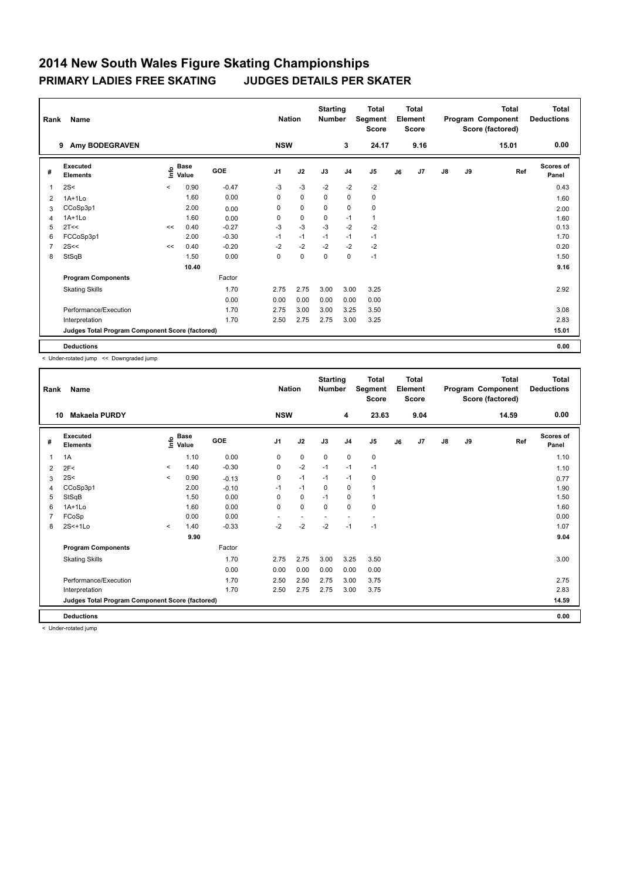| Rank           | <b>Name</b>                                     | <b>Nation</b> |                                  | <b>Starting</b><br><b>Number</b> |                | <b>Total</b><br>Segment<br><b>Score</b> |             | <b>Total</b><br>Element<br><b>Score</b> |                |    | Total<br>Program Component<br>Score (factored) | <b>Total</b><br><b>Deductions</b> |    |       |                           |
|----------------|-------------------------------------------------|---------------|----------------------------------|----------------------------------|----------------|-----------------------------------------|-------------|-----------------------------------------|----------------|----|------------------------------------------------|-----------------------------------|----|-------|---------------------------|
|                | Amy BODEGRAVEN<br>9                             |               |                                  |                                  | <b>NSW</b>     |                                         |             | 3                                       | 24.17          |    | 9.16                                           |                                   |    | 15.01 | 0.00                      |
| #              | Executed<br><b>Elements</b>                     |               | <b>Base</b><br>e Base<br>E Value | GOE                              | J <sub>1</sub> | J2                                      | J3          | J <sub>4</sub>                          | J <sub>5</sub> | J6 | J7                                             | $\mathsf{J}8$                     | J9 | Ref   | <b>Scores of</b><br>Panel |
| $\mathbf 1$    | 2S<                                             | $\prec$       | 0.90                             | $-0.47$                          | $-3$           | $-3$                                    | $-2$        | $-2$                                    | $-2$           |    |                                                |                                   |    |       | 0.43                      |
| 2              | $1A+1L0$                                        |               | 1.60                             | 0.00                             | 0              | $\mathbf 0$                             | 0           | $\mathbf 0$                             | $\pmb{0}$      |    |                                                |                                   |    |       | 1.60                      |
| 3              | CCoSp3p1                                        |               | 2.00                             | 0.00                             | 0              | $\mathbf 0$                             | 0           | $\mathbf 0$                             | 0              |    |                                                |                                   |    |       | 2.00                      |
| 4              | $1A+1Lo$                                        |               | 1.60                             | 0.00                             | 0              | $\mathbf 0$                             | $\mathbf 0$ | $-1$                                    | $\mathbf{1}$   |    |                                                |                                   |    |       | 1.60                      |
| 5              | 2T<<                                            | <<            | 0.40                             | $-0.27$                          | -3             | $-3$                                    | $-3$        | $-2$                                    | $-2$           |    |                                                |                                   |    |       | 0.13                      |
| 6              | FCCoSp3p1                                       |               | 2.00                             | $-0.30$                          | $-1$           | $-1$                                    | $-1$        | $-1$                                    | $-1$           |    |                                                |                                   |    |       | 1.70                      |
| $\overline{7}$ | 2S<<                                            | <<            | 0.40                             | $-0.20$                          | $-2$           | $-2$                                    | $-2$        | $-2$                                    | $-2$           |    |                                                |                                   |    |       | 0.20                      |
| 8              | StSqB                                           |               | 1.50                             | 0.00                             | 0              | $\mathbf 0$                             | 0           | $\mathbf 0$                             | $-1$           |    |                                                |                                   |    |       | 1.50                      |
|                |                                                 |               | 10.40                            |                                  |                |                                         |             |                                         |                |    |                                                |                                   |    |       | 9.16                      |
|                | <b>Program Components</b>                       |               |                                  | Factor                           |                |                                         |             |                                         |                |    |                                                |                                   |    |       |                           |
|                | <b>Skating Skills</b>                           |               |                                  | 1.70                             | 2.75           | 2.75                                    | 3.00        | 3.00                                    | 3.25           |    |                                                |                                   |    |       | 2.92                      |
|                |                                                 |               |                                  | 0.00                             | 0.00           | 0.00                                    | 0.00        | 0.00                                    | 0.00           |    |                                                |                                   |    |       |                           |
|                | Performance/Execution                           |               |                                  | 1.70                             | 2.75           | 3.00                                    | 3.00        | 3.25                                    | 3.50           |    |                                                |                                   |    |       | 3.08                      |
|                | Interpretation                                  |               |                                  | 1.70                             | 2.50           | 2.75                                    | 2.75        | 3.00                                    | 3.25           |    |                                                |                                   |    |       | 2.83                      |
|                | Judges Total Program Component Score (factored) |               |                                  |                                  |                |                                         |             |                                         |                |    |                                                |                                   |    |       | 15.01                     |
|                | <b>Deductions</b>                               |               |                                  |                                  |                |                                         |             |                                         |                |    |                                                |                                   |    |       | 0.00                      |

< Under-rotated jump << Downgraded jump

| Rank           | Name                                            | <b>Nation</b> |                                             | <b>Starting</b><br><b>Number</b> |                | <b>Total</b><br>Segment<br><b>Score</b> |             | <b>Total</b><br>Element<br><b>Score</b> |                |    | <b>Total</b><br>Program Component<br>Score (factored) | <b>Total</b><br><b>Deductions</b> |    |       |                           |
|----------------|-------------------------------------------------|---------------|---------------------------------------------|----------------------------------|----------------|-----------------------------------------|-------------|-----------------------------------------|----------------|----|-------------------------------------------------------|-----------------------------------|----|-------|---------------------------|
|                | <b>Makaela PURDY</b><br>10                      |               |                                             |                                  | <b>NSW</b>     |                                         |             | 4                                       | 23.63          |    | 9.04                                                  |                                   |    | 14.59 | 0.00                      |
| #              | Executed<br><b>Elements</b>                     |               | <b>Base</b><br>e <sup>Base</sup><br>⊆ Value | <b>GOE</b>                       | J <sub>1</sub> | J2                                      | J3          | J <sub>4</sub>                          | J <sub>5</sub> | J6 | J <sub>7</sub>                                        | $\mathsf{J}8$                     | J9 | Ref   | <b>Scores of</b><br>Panel |
| 1              | 1A                                              |               | 1.10                                        | 0.00                             | 0              | 0                                       | $\mathbf 0$ | $\mathbf 0$                             | 0              |    |                                                       |                                   |    |       | 1.10                      |
| 2              | 2F<                                             | $\,<\,$       | 1.40                                        | $-0.30$                          | 0              | $-2$                                    | $-1$        | $-1$                                    | $-1$           |    |                                                       |                                   |    |       | 1.10                      |
| 3              | 2S<                                             | $\prec$       | 0.90                                        | $-0.13$                          | 0              | $-1$                                    | $-1$        | $-1$                                    | 0              |    |                                                       |                                   |    |       | 0.77                      |
| $\overline{4}$ | CCoSp3p1                                        |               | 2.00                                        | $-0.10$                          | $-1$           | $-1$                                    | 0           | $\mathbf 0$                             | 1              |    |                                                       |                                   |    |       | 1.90                      |
| 5              | StSqB                                           |               | 1.50                                        | 0.00                             | 0              | 0                                       | $-1$        | 0                                       | 1              |    |                                                       |                                   |    |       | 1.50                      |
| 6              | $1A+1L0$                                        |               | 1.60                                        | 0.00                             | 0              | $\mathbf 0$                             | $\mathbf 0$ | $\mathbf 0$                             | 0              |    |                                                       |                                   |    |       | 1.60                      |
|                | FCoSp                                           |               | 0.00                                        | 0.00                             | $\sim$         | $\sim$                                  | ÷           | $\overline{\phantom{a}}$                | $\sim$         |    |                                                       |                                   |    |       | 0.00                      |
| 8              | $2S<+1L0$                                       | $\prec$       | 1.40                                        | $-0.33$                          | $-2$           | $-2$                                    | $-2$        | $-1$                                    | $-1$           |    |                                                       |                                   |    |       | 1.07                      |
|                |                                                 |               | 9.90                                        |                                  |                |                                         |             |                                         |                |    |                                                       |                                   |    |       | 9.04                      |
|                | <b>Program Components</b>                       |               |                                             | Factor                           |                |                                         |             |                                         |                |    |                                                       |                                   |    |       |                           |
|                | <b>Skating Skills</b>                           |               |                                             | 1.70                             | 2.75           | 2.75                                    | 3.00        | 3.25                                    | 3.50           |    |                                                       |                                   |    |       | 3.00                      |
|                |                                                 |               |                                             | 0.00                             | 0.00           | 0.00                                    | 0.00        | 0.00                                    | 0.00           |    |                                                       |                                   |    |       |                           |
|                | Performance/Execution                           |               |                                             | 1.70                             | 2.50           | 2.50                                    | 2.75        | 3.00                                    | 3.75           |    |                                                       |                                   |    |       | 2.75                      |
|                | Interpretation                                  |               |                                             | 1.70                             | 2.50           | 2.75                                    | 2.75        | 3.00                                    | 3.75           |    |                                                       |                                   |    |       | 2.83                      |
|                | Judges Total Program Component Score (factored) |               |                                             |                                  |                |                                         |             |                                         |                |    |                                                       |                                   |    |       | 14.59                     |
|                | <b>Deductions</b>                               |               |                                             |                                  |                |                                         |             |                                         |                |    |                                                       |                                   |    |       | 0.00                      |

< Under-rotated jump